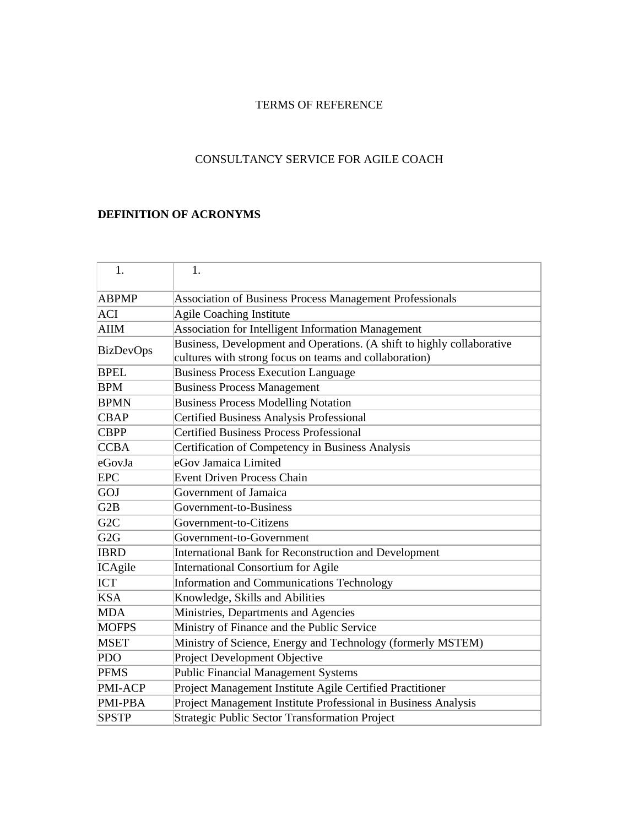# TERMS OF REFERENCE

# CONSULTANCY SERVICE FOR AGILE COACH

## **DEFINITION OF ACRONYMS**

| 1.               | 1.                                                                     |  |
|------------------|------------------------------------------------------------------------|--|
| <b>ABPMP</b>     | Association of Business Process Management Professionals               |  |
| ACI              | Agile Coaching Institute                                               |  |
| <b>AIIM</b>      | Association for Intelligent Information Management                     |  |
| <b>BizDevOps</b> | Business, Development and Operations. (A shift to highly collaborative |  |
|                  | cultures with strong focus on teams and collaboration)                 |  |
| <b>BPEL</b>      | <b>Business Process Execution Language</b>                             |  |
| <b>BPM</b>       | <b>Business Process Management</b>                                     |  |
| <b>BPMN</b>      | <b>Business Process Modelling Notation</b>                             |  |
| <b>CBAP</b>      | Certified Business Analysis Professional                               |  |
| <b>CBPP</b>      | <b>Certified Business Process Professional</b>                         |  |
| <b>CCBA</b>      | Certification of Competency in Business Analysis                       |  |
| eGovJa           | eGov Jamaica Limited                                                   |  |
| <b>EPC</b>       | <b>Event Driven Process Chain</b>                                      |  |
| <b>GOJ</b>       | Government of Jamaica                                                  |  |
| G2B              | Government-to-Business                                                 |  |
| G <sub>2</sub> C | Government-to-Citizens                                                 |  |
| G2G              | Government-to-Government                                               |  |
| <b>IBRD</b>      | International Bank for Reconstruction and Development                  |  |
| ICAgile          | International Consortium for Agile                                     |  |
| <b>ICT</b>       | Information and Communications Technology                              |  |
| <b>KSA</b>       | Knowledge, Skills and Abilities                                        |  |
| <b>MDA</b>       | Ministries, Departments and Agencies                                   |  |
| <b>MOFPS</b>     | Ministry of Finance and the Public Service                             |  |
| <b>MSET</b>      | Ministry of Science, Energy and Technology (formerly MSTEM)            |  |
| <b>PDO</b>       | Project Development Objective                                          |  |
| <b>PFMS</b>      | Public Financial Management Systems                                    |  |
| <b>PMI-ACP</b>   | Project Management Institute Agile Certified Practitioner              |  |
| <b>PMI-PBA</b>   | Project Management Institute Professional in Business Analysis         |  |
| <b>SPSTP</b>     | Strategic Public Sector Transformation Project                         |  |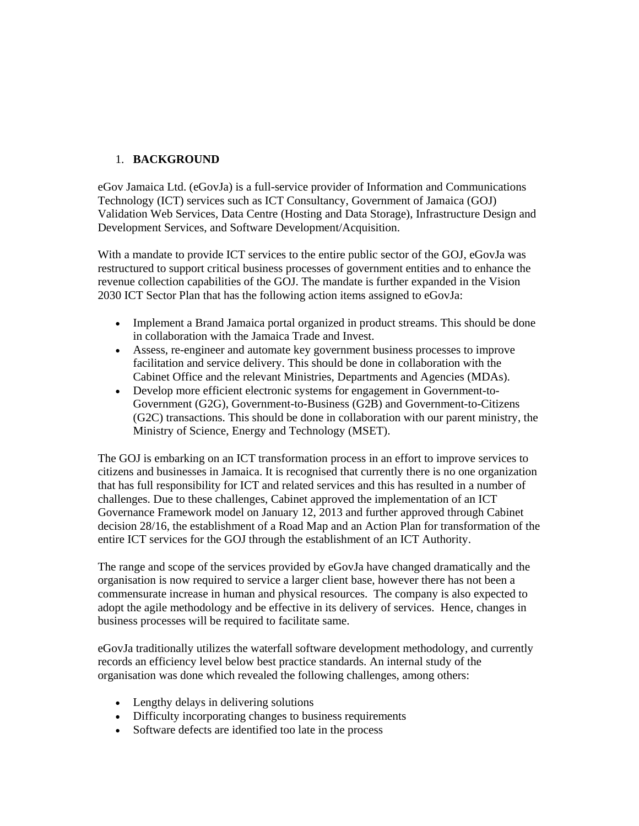## 1. **BACKGROUND**

eGov Jamaica Ltd. (eGovJa) is a full-service provider of Information and Communications Technology (ICT) services such as ICT Consultancy, Government of Jamaica (GOJ) Validation Web Services, Data Centre (Hosting and Data Storage), Infrastructure Design and Development Services, and Software Development/Acquisition.

With a mandate to provide ICT services to the entire public sector of the GOJ, eGovJa was restructured to support critical business processes of government entities and to enhance the revenue collection capabilities of the GOJ. The mandate is further expanded in the Vision 2030 ICT Sector Plan that has the following action items assigned to eGovJa:

- Implement a Brand Jamaica portal organized in product streams. This should be done in collaboration with the Jamaica Trade and Invest.
- Assess, re-engineer and automate key government business processes to improve facilitation and service delivery. This should be done in collaboration with the Cabinet Office and the relevant Ministries, Departments and Agencies (MDAs).
- Develop more efficient electronic systems for engagement in Government-to-Government (G2G), Government-to-Business (G2B) and Government-to-Citizens (G2C) transactions. This should be done in collaboration with our parent ministry, the Ministry of Science, Energy and Technology (MSET).

The GOJ is embarking on an ICT transformation process in an effort to improve services to citizens and businesses in Jamaica. It is recognised that currently there is no one organization that has full responsibility for ICT and related services and this has resulted in a number of challenges. Due to these challenges, Cabinet approved the implementation of an ICT Governance Framework model on January 12, 2013 and further approved through Cabinet decision 28/16, the establishment of a Road Map and an Action Plan for transformation of the entire ICT services for the GOJ through the establishment of an ICT Authority.

The range and scope of the services provided by eGovJa have changed dramatically and the organisation is now required to service a larger client base, however there has not been a commensurate increase in human and physical resources. The company is also expected to adopt the agile methodology and be effective in its delivery of services. Hence, changes in business processes will be required to facilitate same.

eGovJa traditionally utilizes the waterfall software development methodology, and currently records an efficiency level below best practice standards. An internal study of the organisation was done which revealed the following challenges, among others:

- Lengthy delays in delivering solutions
- Difficulty incorporating changes to business requirements
- Software defects are identified too late in the process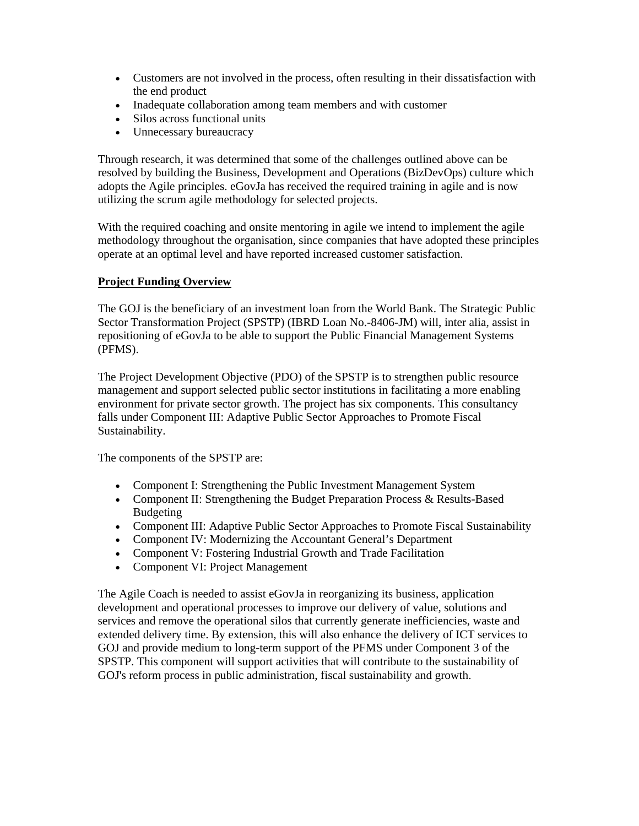- Customers are not involved in the process, often resulting in their dissatisfaction with the end product
- Inadequate collaboration among team members and with customer
- Silos across functional units
- Unnecessary bureaucracy

Through research, it was determined that some of the challenges outlined above can be resolved by building the Business, Development and Operations (BizDevOps) culture which adopts the Agile principles. eGovJa has received the required training in agile and is now utilizing the scrum agile methodology for selected projects.

With the required coaching and onsite mentoring in agile we intend to implement the agile methodology throughout the organisation, since companies that have adopted these principles operate at an optimal level and have reported increased customer satisfaction.

#### **Project Funding Overview**

The GOJ is the beneficiary of an investment loan from the World Bank. The Strategic Public Sector Transformation Project (SPSTP) (IBRD Loan No.-8406-JM) will, inter alia, assist in repositioning of eGovJa to be able to support the Public Financial Management Systems (PFMS).

The Project Development Objective (PDO) of the SPSTP is to strengthen public resource management and support selected public sector institutions in facilitating a more enabling environment for private sector growth. The project has six components. This consultancy falls under Component III: Adaptive Public Sector Approaches to Promote Fiscal Sustainability.

The components of the SPSTP are:

- Component I: Strengthening the Public Investment Management System
- Component II: Strengthening the Budget Preparation Process & Results-Based Budgeting
- Component III: Adaptive Public Sector Approaches to Promote Fiscal Sustainability
- Component IV: Modernizing the Accountant General's Department
- Component V: Fostering Industrial Growth and Trade Facilitation
- Component VI: Project Management

The Agile Coach is needed to assist eGovJa in reorganizing its business, application development and operational processes to improve our delivery of value, solutions and services and remove the operational silos that currently generate inefficiencies, waste and extended delivery time. By extension, this will also enhance the delivery of ICT services to GOJ and provide medium to long-term support of the PFMS under Component 3 of the SPSTP. This component will support activities that will contribute to the sustainability of GOJ's reform process in public administration, fiscal sustainability and growth.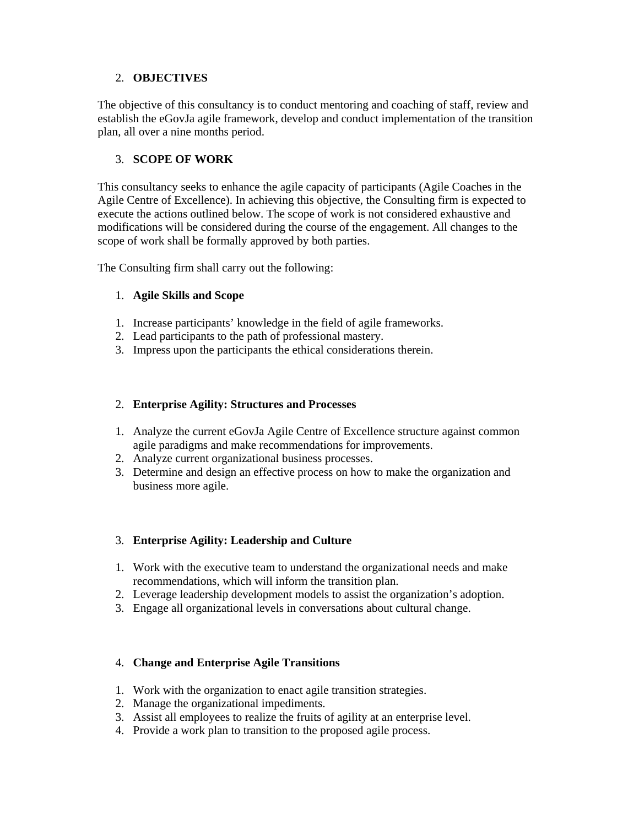## 2. **OBJECTIVES**

The objective of this consultancy is to conduct mentoring and coaching of staff, review and establish the eGovJa agile framework, develop and conduct implementation of the transition plan, all over a nine months period.

### 3. **SCOPE OF WORK**

This consultancy seeks to enhance the agile capacity of participants (Agile Coaches in the Agile Centre of Excellence). In achieving this objective, the Consulting firm is expected to execute the actions outlined below. The scope of work is not considered exhaustive and modifications will be considered during the course of the engagement. All changes to the scope of work shall be formally approved by both parties.

The Consulting firm shall carry out the following:

### 1. **Agile Skills and Scope**

- 1. Increase participants' knowledge in the field of agile frameworks.
- 2. Lead participants to the path of professional mastery.
- 3. Impress upon the participants the ethical considerations therein.

#### 2. **Enterprise Agility: Structures and Processes**

- 1. Analyze the current eGovJa Agile Centre of Excellence structure against common agile paradigms and make recommendations for improvements.
- 2. Analyze current organizational business processes.
- 3. Determine and design an effective process on how to make the organization and business more agile.

### 3. **Enterprise Agility: Leadership and Culture**

- 1. Work with the executive team to understand the organizational needs and make recommendations, which will inform the transition plan.
- 2. Leverage leadership development models to assist the organization's adoption.
- 3. Engage all organizational levels in conversations about cultural change.

### 4. **Change and Enterprise Agile Transitions**

- 1. Work with the organization to enact agile transition strategies.
- 2. Manage the organizational impediments.
- 3. Assist all employees to realize the fruits of agility at an enterprise level.
- 4. Provide a work plan to transition to the proposed agile process.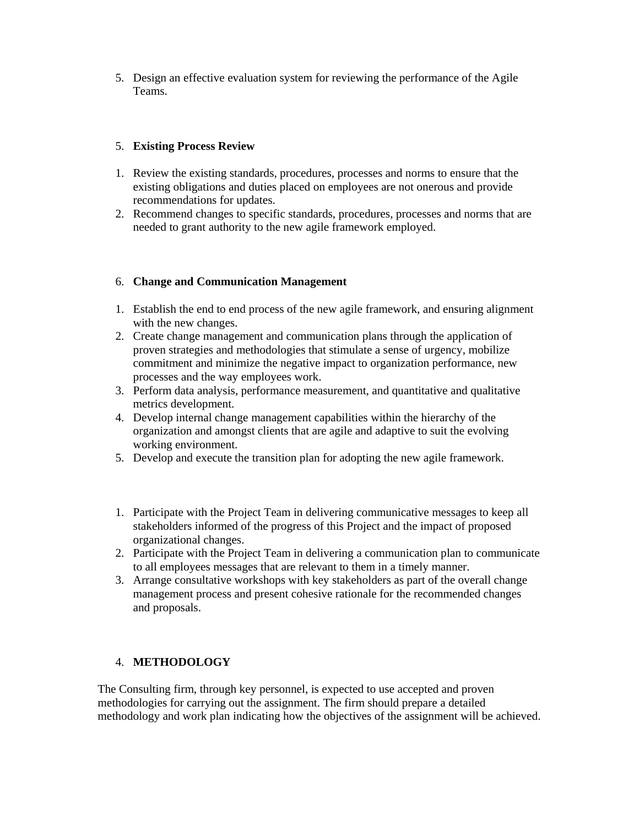5. Design an effective evaluation system for reviewing the performance of the Agile Teams.

### 5. **Existing Process Review**

- 1. Review the existing standards, procedures, processes and norms to ensure that the existing obligations and duties placed on employees are not onerous and provide recommendations for updates.
- 2. Recommend changes to specific standards, procedures, processes and norms that are needed to grant authority to the new agile framework employed.

## 6. **Change and Communication Management**

- 1. Establish the end to end process of the new agile framework, and ensuring alignment with the new changes.
- 2. Create change management and communication plans through the application of proven strategies and methodologies that stimulate a sense of urgency, mobilize commitment and minimize the negative impact to organization performance, new processes and the way employees work.
- 3. Perform data analysis, performance measurement, and quantitative and qualitative metrics development.
- 4. Develop internal change management capabilities within the hierarchy of the organization and amongst clients that are agile and adaptive to suit the evolving working environment.
- 5. Develop and execute the transition plan for adopting the new agile framework.
- 1. Participate with the Project Team in delivering communicative messages to keep all stakeholders informed of the progress of this Project and the impact of proposed organizational changes.
- 2. Participate with the Project Team in delivering a communication plan to communicate to all employees messages that are relevant to them in a timely manner.
- 3. Arrange consultative workshops with key stakeholders as part of the overall change management process and present cohesive rationale for the recommended changes and proposals.

### 4. **METHODOLOGY**

The Consulting firm, through key personnel, is expected to use accepted and proven methodologies for carrying out the assignment. The firm should prepare a detailed methodology and work plan indicating how the objectives of the assignment will be achieved.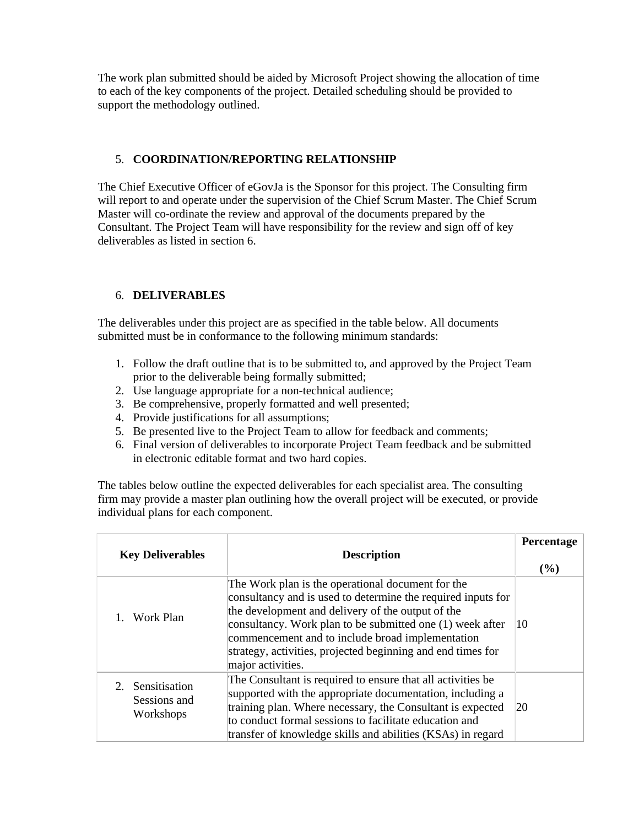The work plan submitted should be aided by Microsoft Project showing the allocation of time to each of the key components of the project. Detailed scheduling should be provided to support the methodology outlined.

### 5. **COORDINATION/REPORTING RELATIONSHIP**

The Chief Executive Officer of eGovJa is the Sponsor for this project. The Consulting firm will report to and operate under the supervision of the Chief Scrum Master. The Chief Scrum Master will co-ordinate the review and approval of the documents prepared by the Consultant. The Project Team will have responsibility for the review and sign off of key deliverables as listed in section 6.

## 6. **DELIVERABLES**

The deliverables under this project are as specified in the table below. All documents submitted must be in conformance to the following minimum standards:

- 1. Follow the draft outline that is to be submitted to, and approved by the Project Team prior to the deliverable being formally submitted;
- 2. Use language appropriate for a non-technical audience;
- 3. Be comprehensive, properly formatted and well presented;
- 4. Provide justifications for all assumptions;
- 5. Be presented live to the Project Team to allow for feedback and comments;
- 6. Final version of deliverables to incorporate Project Team feedback and be submitted in electronic editable format and two hard copies.

The tables below outline the expected deliverables for each specialist area. The consulting firm may provide a master plan outlining how the overall project will be executed, or provide individual plans for each component.

| <b>Key Deliverables</b>                       | <b>Description</b>                                                                                                                                                                                                                                                                                                                                                          | Percentage<br>$\left( \frac{0}{0} \right)$ |
|-----------------------------------------------|-----------------------------------------------------------------------------------------------------------------------------------------------------------------------------------------------------------------------------------------------------------------------------------------------------------------------------------------------------------------------------|--------------------------------------------|
| Work Plan                                     | The Work plan is the operational document for the<br>consultancy and is used to determine the required inputs for<br>the development and delivery of the output of the<br>consultancy. Work plan to be submitted one (1) week after<br>commencement and to include broad implementation<br>strategy, activities, projected beginning and end times for<br>major activities. | 10                                         |
| 2. Sensitisation<br>Sessions and<br>Workshops | The Consultant is required to ensure that all activities be<br>supported with the appropriate documentation, including a<br>training plan. Where necessary, the Consultant is expected<br>to conduct formal sessions to facilitate education and<br>transfer of knowledge skills and abilities (KSAs) in regard                                                             | 20                                         |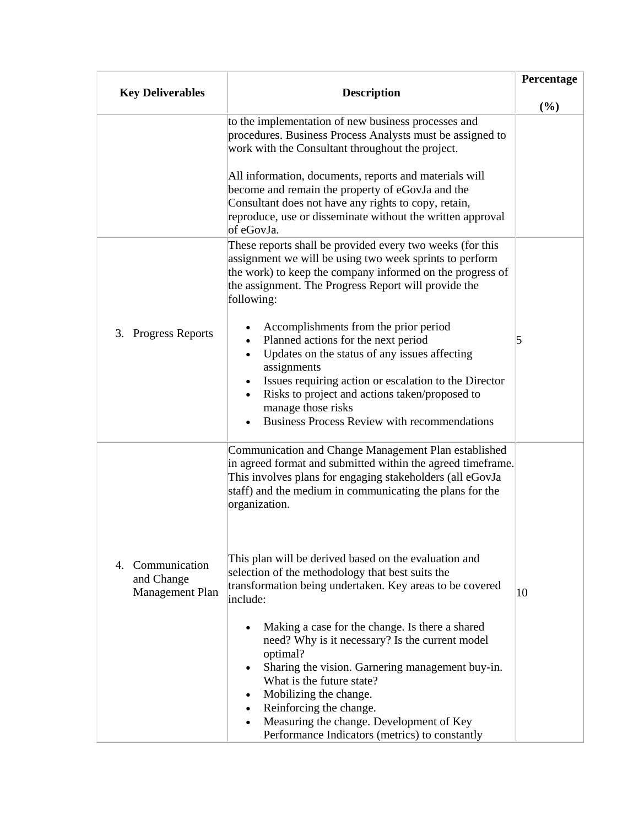|                               |                                                                                                                                                                                                                                                                                                                                                                                                                                                                                                                       | Percentage |
|-------------------------------|-----------------------------------------------------------------------------------------------------------------------------------------------------------------------------------------------------------------------------------------------------------------------------------------------------------------------------------------------------------------------------------------------------------------------------------------------------------------------------------------------------------------------|------------|
| <b>Key Deliverables</b>       | <b>Description</b>                                                                                                                                                                                                                                                                                                                                                                                                                                                                                                    | (%)        |
|                               | to the implementation of new business processes and<br>procedures. Business Process Analysts must be assigned to<br>work with the Consultant throughout the project.                                                                                                                                                                                                                                                                                                                                                  |            |
|                               | All information, documents, reports and materials will<br>become and remain the property of eGovJa and the<br>Consultant does not have any rights to copy, retain,<br>reproduce, use or disseminate without the written approval<br>of eGovJa.                                                                                                                                                                                                                                                                        |            |
|                               | These reports shall be provided every two weeks (for this<br>assignment we will be using two week sprints to perform<br>the work) to keep the company informed on the progress of<br>the assignment. The Progress Report will provide the<br>following:                                                                                                                                                                                                                                                               |            |
| <b>Progress Reports</b><br>3. | Accomplishments from the prior period<br>Planned actions for the next period<br>Updates on the status of any issues affecting<br>assignments<br>Issues requiring action or escalation to the Director<br>٠<br>Risks to project and actions taken/proposed to<br>manage those risks<br><b>Business Process Review with recommendations</b>                                                                                                                                                                             | 5          |
| 4. Communication              | Communication and Change Management Plan established<br>in agreed format and submitted within the agreed timeframe.<br>This involves plans for engaging stakeholders (all eGovJa<br>staff) and the medium in communicating the plans for the<br>organization.<br>This plan will be derived based on the evaluation and                                                                                                                                                                                                |            |
| and Change<br>Management Plan | selection of the methodology that best suits the<br>transformation being undertaken. Key areas to be covered<br>include:<br>Making a case for the change. Is there a shared<br>need? Why is it necessary? Is the current model<br>optimal?<br>Sharing the vision. Garnering management buy-in.<br>$\bullet$<br>What is the future state?<br>Mobilizing the change.<br>$\bullet$<br>Reinforcing the change.<br>$\bullet$<br>Measuring the change. Development of Key<br>Performance Indicators (metrics) to constantly | 10         |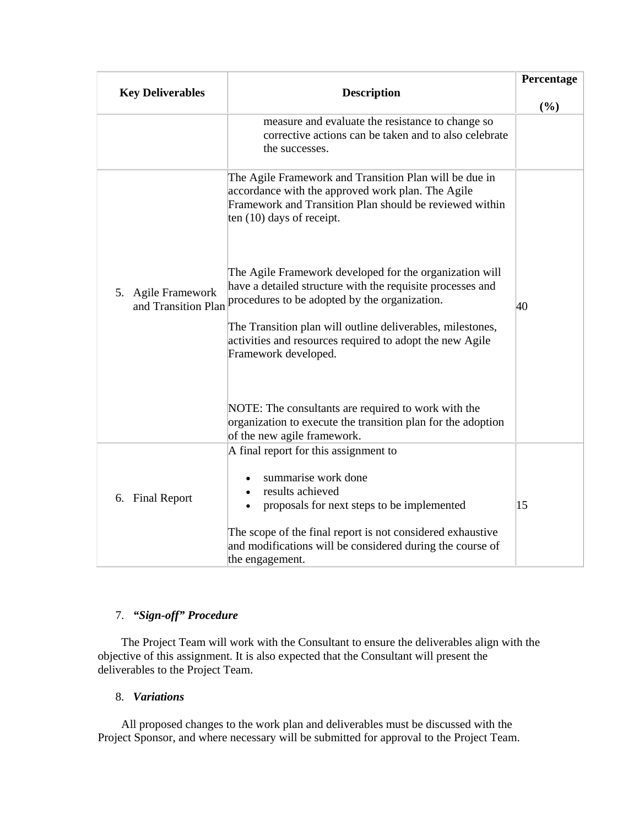| <b>Key Deliverables</b>                   | <b>Description</b>                                                                                                                                                                                    | Percentage |
|-------------------------------------------|-------------------------------------------------------------------------------------------------------------------------------------------------------------------------------------------------------|------------|
|                                           |                                                                                                                                                                                                       | (%)        |
|                                           | measure and evaluate the resistance to change so<br>corrective actions can be taken and to also celebrate<br>the successes.                                                                           |            |
|                                           | The Agile Framework and Transition Plan will be due in<br>accordance with the approved work plan. The Agile<br>Framework and Transition Plan should be reviewed within<br>ten $(10)$ days of receipt. |            |
| 5. Agile Framework<br>and Transition Plan | The Agile Framework developed for the organization will<br>have a detailed structure with the requisite processes and<br>procedures to be adopted by the organization.                                | 40         |
|                                           | The Transition plan will outline deliverables, milestones,<br>activities and resources required to adopt the new Agile<br>Framework developed.                                                        |            |
|                                           | NOTE: The consultants are required to work with the<br>organization to execute the transition plan for the adoption<br>of the new agile framework.                                                    |            |
| 6. Final Report                           | A final report for this assignment to<br>summarise work done<br>results achieved<br>$\bullet$<br>proposals for next steps to be implemented<br>$\bullet$                                              | 15         |
|                                           | The scope of the final report is not considered exhaustive<br>and modifications will be considered during the course of<br>the engagement.                                                            |            |

# 7. *"Sign-off" Procedure*

 The Project Team will work with the Consultant to ensure the deliverables align with the objective of this assignment. It is also expected that the Consultant will present the deliverables to the Project Team.

### 8. *Variations*

 All proposed changes to the work plan and deliverables must be discussed with the Project Sponsor, and where necessary will be submitted for approval to the Project Team.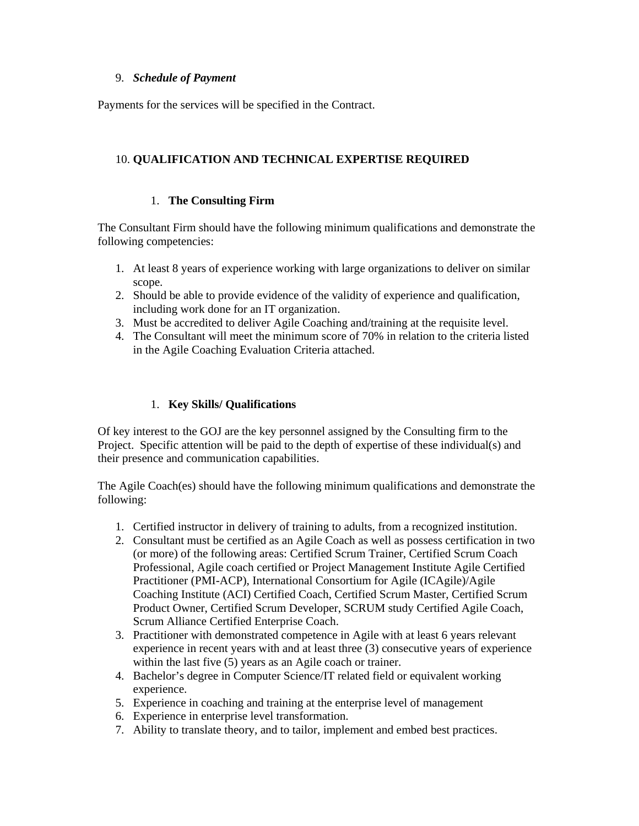### 9. *Schedule of Payment*

Payments for the services will be specified in the Contract.

## 10. **QUALIFICATION AND TECHNICAL EXPERTISE REQUIRED**

#### 1. **The Consulting Firm**

The Consultant Firm should have the following minimum qualifications and demonstrate the following competencies:

- 1. At least 8 years of experience working with large organizations to deliver on similar scope.
- 2. Should be able to provide evidence of the validity of experience and qualification, including work done for an IT organization.
- 3. Must be accredited to deliver Agile Coaching and/training at the requisite level.
- 4. The Consultant will meet the minimum score of 70% in relation to the criteria listed in the Agile Coaching Evaluation Criteria attached.

### 1. **Key Skills/ Qualifications**

Of key interest to the GOJ are the key personnel assigned by the Consulting firm to the Project. Specific attention will be paid to the depth of expertise of these individual(s) and their presence and communication capabilities.

The Agile Coach(es) should have the following minimum qualifications and demonstrate the following:

- 1. Certified instructor in delivery of training to adults, from a recognized institution.
- 2. Consultant must be certified as an Agile Coach as well as possess certification in two (or more) of the following areas: Certified Scrum Trainer, Certified Scrum Coach Professional, Agile coach certified or Project Management Institute Agile Certified Practitioner (PMI-ACP), International Consortium for Agile (ICAgile)/Agile Coaching Institute (ACI) Certified Coach, Certified Scrum Master, Certified Scrum Product Owner, Certified Scrum Developer, SCRUM study Certified Agile Coach, Scrum Alliance Certified Enterprise Coach.
- 3. Practitioner with demonstrated competence in Agile with at least 6 years relevant experience in recent years with and at least three (3) consecutive years of experience within the last five (5) years as an Agile coach or trainer.
- 4. Bachelor's degree in Computer Science/IT related field or equivalent working experience.
- 5. Experience in coaching and training at the enterprise level of management
- 6. Experience in enterprise level transformation.
- 7. Ability to translate theory, and to tailor, implement and embed best practices.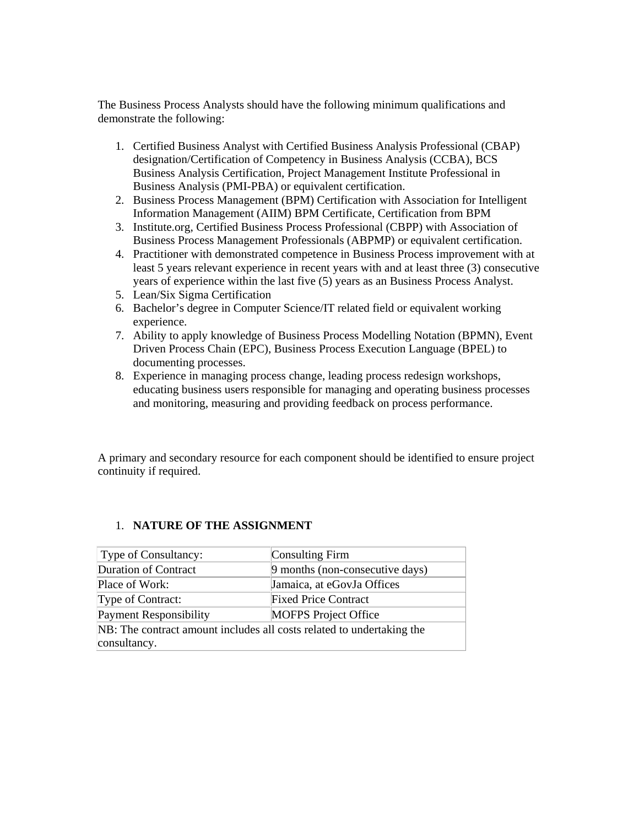The Business Process Analysts should have the following minimum qualifications and demonstrate the following:

- 1. Certified Business Analyst with Certified Business Analysis Professional (CBAP) designation/Certification of Competency in Business Analysis (CCBA), BCS Business Analysis Certification, Project Management Institute Professional in Business Analysis (PMI-PBA) or equivalent certification.
- 2. Business Process Management (BPM) Certification with Association for Intelligent Information Management (AIIM) BPM Certificate, Certification from BPM
- 3. Institute.org, Certified Business Process Professional (CBPP) with Association of Business Process Management Professionals (ABPMP) or equivalent certification.
- 4. Practitioner with demonstrated competence in Business Process improvement with at least 5 years relevant experience in recent years with and at least three (3) consecutive years of experience within the last five (5) years as an Business Process Analyst.
- 5. Lean/Six Sigma Certification
- 6. Bachelor's degree in Computer Science/IT related field or equivalent working experience.
- 7. Ability to apply knowledge of Business Process Modelling Notation (BPMN), Event Driven Process Chain (EPC), Business Process Execution Language (BPEL) to documenting processes.
- 8. Experience in managing process change, leading process redesign workshops, educating business users responsible for managing and operating business processes and monitoring, measuring and providing feedback on process performance.

A primary and secondary resource for each component should be identified to ensure project continuity if required.

#### 1. **NATURE OF THE ASSIGNMENT**

| Type of Consultancy:                                                  | Consulting Firm                 |  |  |  |
|-----------------------------------------------------------------------|---------------------------------|--|--|--|
| Duration of Contract                                                  | 9 months (non-consecutive days) |  |  |  |
| Place of Work:                                                        | Jamaica, at eGovJa Offices      |  |  |  |
| Type of Contract:                                                     | <b>Fixed Price Contract</b>     |  |  |  |
| <b>Payment Responsibility</b>                                         | <b>MOFPS</b> Project Office     |  |  |  |
| NB: The contract amount includes all costs related to undertaking the |                                 |  |  |  |
| consultancy.                                                          |                                 |  |  |  |